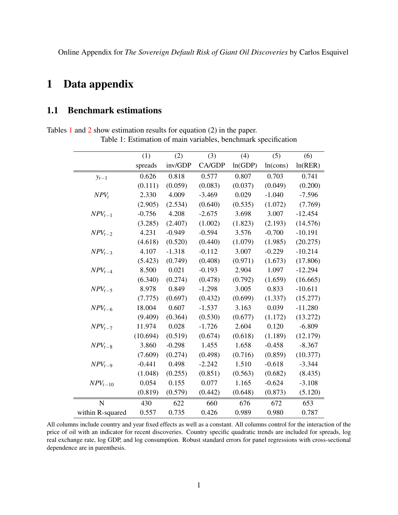Online Appendix for *The Sovereign Default Risk of Giant Oil Discoveries* by Carlos Esquivel

## 1 Data appendix

### 1.1 Benchmark estimations

<span id="page-0-0"></span>Tables [1](#page-0-0) and [2](#page-1-0) show estimation results for equation (2) in the paper.

Table 1: Estimation of main variables, benchmark specification

|                  | (1)      | (2)      | (3)      | (4)     | (5)      | (6)       |
|------------------|----------|----------|----------|---------|----------|-----------|
|                  | spreads  | inv/GDP  | CA/GDP   | ln(GDP) | ln(cons) | ln(RER)   |
| $y_{t-1}$        | 0.626    | 0.818    | 0.577    | 0.807   | 0.703    | 0.741     |
|                  | (0.111)  | (0.059)  | (0.083)  | (0.037) | (0.049)  | (0.200)   |
| $NPV_t$          | 2.330    | 4.009    | $-3.469$ | 0.029   | $-1.040$ | $-7.596$  |
|                  | (2.905)  | (2.534)  | (0.640)  | (0.535) | (1.072)  | (7.769)   |
| $NPV_{t-1}$      | $-0.756$ | 4.208    | $-2.675$ | 3.698   | 3.007    | $-12.454$ |
|                  | (3.285)  | (2.407)  | (1.002)  | (1.823) | (2.193)  | (14.576)  |
| $NPV_{t-2}$      | 4.231    | $-0.949$ | $-0.594$ | 3.576   | $-0.700$ | $-10.191$ |
|                  | (4.618)  | (0.520)  | (0.440)  | (1.079) | (1.985)  | (20.275)  |
| $NPV_{t-3}$      | 4.107    | $-1.318$ | $-0.112$ | 3.007   | $-0.229$ | $-10.214$ |
|                  | (5.423)  | (0.749)  | (0.408)  | (0.971) | (1.673)  | (17.806)  |
| $NPV_{t-4}$      | 8.500    | 0.021    | $-0.193$ | 2.904   | 1.097    | $-12.294$ |
|                  | (6.340)  | (0.274)  | (0.478)  | (0.792) | (1.659)  | (16.665)  |
| $NPV_{t-5}$      | 8.978    | 0.849    | $-1.298$ | 3.005   | 0.833    | $-10.611$ |
|                  | (7.775)  | (0.697)  | (0.432)  | (0.699) | (1.337)  | (15.277)  |
| $NPV_{t-6}$      | 18.004   | 0.607    | $-1.537$ | 3.163   | 0.039    | $-11.280$ |
|                  | (9.409)  | (0.364)  | (0.530)  | (0.677) | (1.172)  | (13.272)  |
| $NPV_{t-7}$      | 11.974   | 0.028    | $-1.726$ | 2.604   | 0.120    | $-6.809$  |
|                  | (10.694) | (0.519)  | (0.674)  | (0.618) | (1.189)  | (12.179)  |
| $NPV_{t-8}$      | 3.860    | $-0.298$ | 1.455    | 1.658   | $-0.458$ | $-8.367$  |
|                  | (7.609)  | (0.274)  | (0.498)  | (0.716) | (0.859)  | (10.377)  |
| $NPV_{t-9}$      | $-0.441$ | 0.498    | $-2.242$ | 1.510   | $-0.618$ | $-3.344$  |
|                  | (1.048)  | (0.255)  | (0.851)  | (0.563) | (0.682)  | (8.435)   |
| $NPV_{t-10}$     | 0.054    | 0.155    | 0.077    | 1.165   | $-0.624$ | $-3.108$  |
|                  | (0.819)  | (0.579)  | (0.442)  | (0.648) | (0.873)  | (5.120)   |
| N                | 430      | 622      | 660      | 676     | 672      | 653       |
| within R-squared | 0.557    | 0.735    | 0.426    | 0.989   | 0.980    | 0.787     |

All columns include country and year fixed effects as well as a constant. All columns control for the interaction of the price of oil with an indicator for recent discoveries. Country specific quadratic trends are included for spreads, log real exchange rate, log GDP, and log consumption. Robust standard errors for panel regressions with cross-sectional dependence are in parenthesis.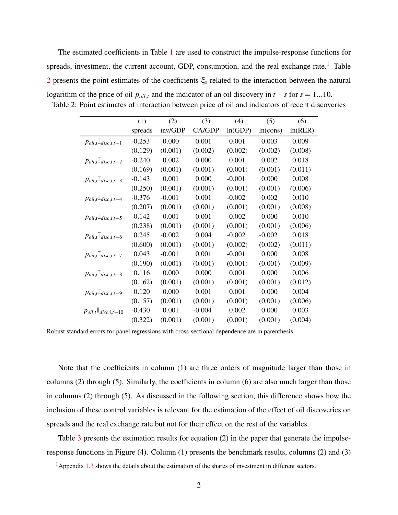The estimated coefficients in Table [1](#page-0-0) are used to construct the impulse-response functions for spreads, investment, the current account, GDP, consumption, and the real exchange rate.<sup>[1](#page-1-1)</sup> Table [2](#page-1-0) presents the point estimates of the coefficients ξ*<sup>s</sup>* related to the interaction between the natural logarithm of the price of oil  $p_{oil,t}$  and the indicator of an oil discovery in  $t - s$  for  $s = 1...10$ .

|                                                             | (1)      | (2)      | (3)      | (4)      | (5)      | (6)     |
|-------------------------------------------------------------|----------|----------|----------|----------|----------|---------|
|                                                             | spreads  | inv/GDP  | CA/GDP   | ln(GDP)  | ln(cons) | ln(RER) |
| $p_{oil,t}$ <sup><math>\mathbb{I}_{disc,i,t-1}</math></sup> | $-0.253$ | 0.000    | 0.001    | 0.001    | 0.003    | 0.009   |
|                                                             | (0.129)  | (0.001)  | (0.002)  | (0.002)  | (0.002)  | (0.008) |
| $p_{oil,t}$ <sup>[</sup> <i>disc,i,t-2</i>                  | $-0.240$ | 0.002    | 0.000    | 0.001    | 0.002    | 0.018   |
|                                                             | (0.169)  | (0.001)  | (0.001)  | (0.001)  | (0.001)  | (0.011) |
| $p_{oil,t}$ <sup><math>\mathbb{I}_{disc,i,t-3}</math></sup> | $-0.143$ | 0.001    | 0.000    | $-0.001$ | 0.000    | 0.008   |
|                                                             | (0.250)  | (0.001)  | (0.001)  | (0.001)  | (0.001)  | (0.006) |
| $p_{oil,t}$ <sup><i>I</i></sup> <i>disc,i,t</i> -4          | $-0.376$ | $-0.001$ | 0.001    | $-0.002$ | 0.002    | 0.010   |
|                                                             | (0.207)  | (0.001)  | (0.001)  | (0.001)  | (0.001)  | (0.008) |
| $p_{oil,t}$ <sup>I</sup> <i>disc,i,t</i> -5                 | $-0.142$ | 0.001    | 0.001    | $-0.002$ | 0.000    | 0.010   |
|                                                             | (0.238)  | (0.001)  | (0.001)  | (0.001)  | (0.001)  | (0.006) |
| $P^{oil,t}$ <sup><i>L</i></sup> disc,i,t-6                  | 0.245    | $-0.002$ | 0.004    | $-0.002$ | $-0.002$ | 0.018   |
|                                                             | (0.600)  | (0.001)  | (0.001)  | (0.002)  | (0.002)  | (0.011) |
| $p_{oil,t}$ <sup><i>I</i></sup> <i>disc,i,t-7</i>           | 0.043    | $-0.001$ | 0.001    | $-0.001$ | 0.000    | 0.008   |
|                                                             | (0.190)  | (0.001)  | (0.001)  | (0.001)  | (0.001)  | (0.009) |
| $P^{oil,t}$ <sup><i>L</i></sup> disc,i,t-8                  | 0.116    | 0.000    | 0.000    | 0.001    | 0.000    | 0.006   |
|                                                             | (0.162)  | (0.001)  | (0.001)  | (0.001)  | (0.001)  | (0.012) |
| $p_{oil,t}$ <sup><i>I</i></sup> <i>disc,i,t</i> -9          | 0.120    | 0.000    | 0.001    | 0.001    | 0.000    | 0.004   |
|                                                             | (0.157)  | (0.001)  | (0.001)  | (0.001)  | (0.001)  | (0.006) |
| $P^{oil,t}$ <sup>ll</sup> disc,i,t-10                       | $-0.430$ | 0.001    | $-0.004$ | 0.002    | 0.000    | 0.003   |
|                                                             | (0.322)  | (0.001)  | (0.001)  | (0.001)  | (0.001)  | (0.004) |

<span id="page-1-0"></span>Table 2: Point estimates of interaction between price of oil and indicators of recent discoveries

Robust standard errors for panel regressions with cross-sectional dependence are in parenthesis.

Note that the coefficients in column (1) are three orders of magnitude larger than those in columns (2) through (5). Similarly, the coefficients in column (6) are also much larger than those in columns (2) through (5). As discussed in the following section, this difference shows how the inclusion of these control variables is relevant for the estimation of the effect of oil discoveries on spreads and the real exchange rate but not for their effect on the rest of the variables.

Table [3](#page-2-0) presents the estimation results for equation (2) in the paper that generate the impulseresponse functions in Figure (4). Column (1) presents the benchmark results, columns (2) and (3)

<span id="page-1-1"></span><sup>&</sup>lt;sup>1</sup> Appendix  $1.3$  shows the details about the estimation of the shares of investment in different sectors.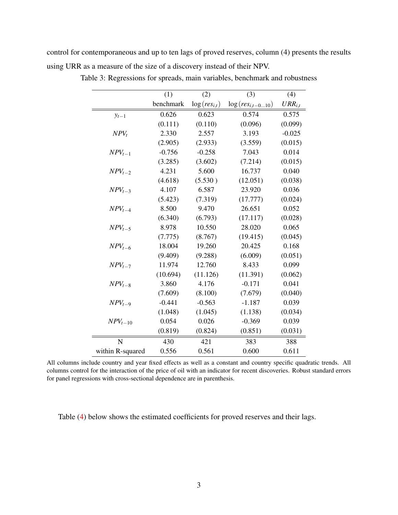<span id="page-2-0"></span>control for contemporaneous and up to ten lags of proved reserves, column (4) presents the results using URR as a measure of the size of a discovery instead of their NPV.

|                  | (1)       | (2)               | (3)                   | (4)         |
|------------------|-----------|-------------------|-----------------------|-------------|
|                  | benchmark | $\log(res_{i,t})$ | $\log(res_{i,t-010})$ | $URR_{i,t}$ |
| $y_{t-1}$        | 0.626     | 0.623             | 0.574                 | 0.575       |
|                  | (0.111)   | (0.110)           | (0.096)               | (0.099)     |
| $NPV_t$          | 2.330     | 2.557             | 3.193                 | $-0.025$    |
|                  | (2.905)   | (2.933)           | (3.559)               | (0.015)     |
| $NPV_{t-1}$      | $-0.756$  | $-0.258$          | 7.043                 | 0.014       |
|                  | (3.285)   | (3.602)           | (7.214)               | (0.015)     |
| $NPV_{t-2}$      | 4.231     | 5.600             | 16.737                | 0.040       |
|                  | (4.618)   | (5.530)           | (12.051)              | (0.038)     |
| $NPV_{t-3}$      | 4.107     | 6.587             | 23.920                | 0.036       |
|                  | (5.423)   | (7.319)           | (17.777)              | (0.024)     |
| $NPV_{t-4}$      | 8.500     | 9.470             | 26.651                | 0.052       |
|                  | (6.340)   | (6.793)           | (17.117)              | (0.028)     |
| $NPV_{t-5}$      | 8.978     | 10.550            | 28.020                | 0.065       |
|                  | (7.775)   | (8.767)           | (19.415)              | (0.045)     |
| $NPV_{t-6}$      | 18.004    | 19.260            | 20.425                | 0.168       |
|                  | (9.409)   | (9.288)           | (6.009)               | (0.051)     |
| $NPV_{t-7}$      | 11.974    | 12.760            | 8.433                 | 0.099       |
|                  | (10.694)  | (11.126)          | (11.391)              | (0.062)     |
| $NPV_{t-8}$      | 3.860     | 4.176             | $-0.171$              | 0.041       |
|                  | (7.609)   | (8.100)           | (7.679)               | (0.040)     |
| $NPV_{t-9}$      | $-0.441$  | $-0.563$          | $-1.187$              | 0.039       |
|                  | (1.048)   | (1.045)           | (1.138)               | (0.034)     |
| $NPV_{t-10}$     | 0.054     | 0.026             | $-0.369$              | 0.039       |
|                  | (0.819)   | (0.824)           | (0.851)               | (0.031)     |
| N                | 430       | 421               | 383                   | 388         |
| within R-squared | 0.556     | 0.561             | 0.600                 | 0.611       |

Table 3: Regressions for spreads, main variables, benchmark and robustness

All columns include country and year fixed effects as well as a constant and country specific quadratic trends. All columns control for the interaction of the price of oil with an indicator for recent discoveries. Robust standard errors for panel regressions with cross-sectional dependence are in parenthesis.

Table [\(4\)](#page-3-0) below shows the estimated coefficients for proved reserves and their lags.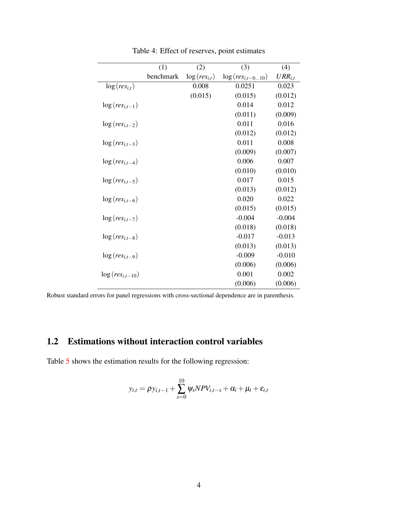<span id="page-3-0"></span>

|                      | (1)       | (2)               | (3)                   | (4)         |
|----------------------|-----------|-------------------|-----------------------|-------------|
|                      | benchmark | $\log(res_{i,t})$ | $\log(res_{i,t-010})$ | $URR_{i,t}$ |
| $\log(res_{i,t})$    |           | 0.008             | 0.0251                | 0.023       |
|                      |           | (0.015)           | (0.015)               | (0.012)     |
| $\log(res_{i,t-1})$  |           |                   | 0.014                 | 0.012       |
|                      |           |                   | (0.011)               | (0.009)     |
| $\log(res_{i,t-2})$  |           |                   | 0.011                 | 0.016       |
|                      |           |                   | (0.012)               | (0.012)     |
| $\log(res_{i,t-3})$  |           |                   | 0.011                 | 0.008       |
|                      |           |                   | (0.009)               | (0.007)     |
| $\log(res_{i,t-4})$  |           |                   | 0.006                 | 0.007       |
|                      |           |                   | (0.010)               | (0.010)     |
| $\log(res_{i,t-5})$  |           |                   | 0.017                 | 0.015       |
|                      |           |                   | (0.013)               | (0.012)     |
| $\log(res_{i,t-6})$  |           |                   | 0.020                 | 0.022       |
|                      |           |                   | (0.015)               | (0.015)     |
| $\log(res_{i,t-7})$  |           |                   | $-0.004$              | $-0.004$    |
|                      |           |                   | (0.018)               | (0.018)     |
| $\log(res_{i,t-8})$  |           |                   | $-0.017$              | $-0.013$    |
|                      |           |                   | (0.013)               | (0.013)     |
| $\log(res_{i,t-9})$  |           |                   | $-0.009$              | $-0.010$    |
|                      |           |                   | (0.006)               | (0.006)     |
| $\log(res_{i,t-10})$ |           |                   | 0.001                 | 0.002       |
|                      |           |                   | (0.006)               | (0.006)     |

Table 4: Effect of reserves, point estimates

Robust standard errors for panel regressions with cross-sectional dependence are in parenthesis.

## 1.2 Estimations without interaction control variables

Table [5](#page-4-0) shows the estimation results for the following regression:

$$
y_{i,t} = \rho y_{i,t-1} + \sum_{s=0}^{10} \psi_s N P V_{i,t-s} + \alpha_i + \mu_t + \varepsilon_{i,t}
$$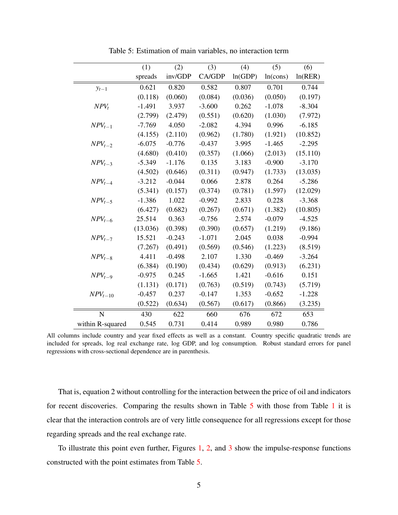<span id="page-4-0"></span>

|                  | (1)      | (2)      | (3)      | (4)     | (5)      | (6)      |
|------------------|----------|----------|----------|---------|----------|----------|
|                  | spreads  | inv/GDP  | CA/GDP   | ln(GDP) | ln(cons) | ln(RER)  |
| $y_{t-1}$        | 0.621    | 0.820    | 0.582    | 0.807   | 0.701    | 0.744    |
|                  | (0.118)  | (0.060)  | (0.084)  | (0.036) | (0.050)  | (0.197)  |
| $NPV_t$          | $-1.491$ | 3.937    | $-3.600$ | 0.262   | $-1.078$ | $-8.304$ |
|                  | (2.799)  | (2.479)  | (0.551)  | (0.620) | (1.030)  | (7.972)  |
| $NPV_{t-1}$      | $-7.769$ | 4.050    | $-2.082$ | 4.394   | 0.996    | $-6.185$ |
|                  | (4.155)  | (2.110)  | (0.962)  | (1.780) | (1.921)  | (10.852) |
| $NPV_{t-2}$      | $-6.075$ | $-0.776$ | $-0.437$ | 3.995   | $-1.465$ | $-2.295$ |
|                  | (4.680)  | (0.410)  | (0.357)  | (1.066) | (2.013)  | (15.110) |
| $NPV_{t-3}$      | $-5.349$ | $-1.176$ | 0.135    | 3.183   | $-0.900$ | $-3.170$ |
|                  | (4.502)  | (0.646)  | (0.311)  | (0.947) | (1.733)  | (13.035) |
| $NPV_{t-4}$      | $-3.212$ | $-0.044$ | 0.066    | 2.878   | 0.264    | $-5.286$ |
|                  | (5.341)  | (0.157)  | (0.374)  | (0.781) | (1.597)  | (12.029) |
| $NPV_{t-5}$      | $-1.386$ | 1.022    | $-0.992$ | 2.833   | 0.228    | $-3.368$ |
|                  | (6.427)  | (0.682)  | (0.267)  | (0.671) | (1.382)  | (10.805) |
| $NPV_{t-6}$      | 25.514   | 0.363    | $-0.756$ | 2.574   | $-0.079$ | $-4.525$ |
|                  | (13.036) | (0.398)  | (0.390)  | (0.657) | (1.219)  | (9.186)  |
| $NPV_{t-7}$      | 15.521   | $-0.243$ | $-1.071$ | 2.045   | 0.038    | $-0.994$ |
|                  | (7.267)  | (0.491)  | (0.569)  | (0.546) | (1.223)  | (8.519)  |
| $NPV_{t-8}$      | 4.411    | $-0.498$ | 2.107    | 1.330   | $-0.469$ | $-3.264$ |
|                  | (6.384)  | (0.190)  | (0.434)  | (0.629) | (0.913)  | (6.231)  |
| $NPV_{t-9}$      | $-0.975$ | 0.245    | $-1.665$ | 1.421   | $-0.616$ | 0.151    |
|                  | (1.131)  | (0.171)  | (0.763)  | (0.519) | (0.743)  | (5.719)  |
| $NPV_{t-10}$     | $-0.457$ | 0.237    | $-0.147$ | 1.353   | $-0.652$ | $-1.228$ |
|                  | (0.522)  | (0.634)  | (0.567)  | (0.617) | (0.866)  | (3.235)  |
| $\mathbf N$      | 430      | 622      | 660      | 676     | 672      | 653      |
| within R-squared | 0.545    | 0.731    | 0.414    | 0.989   | 0.980    | 0.786    |

Table 5: Estimation of main variables, no interaction term

All columns include country and year fixed effects as well as a constant. Country specific quadratic trends are included for spreads, log real exchange rate, log GDP, and log consumption. Robust standard errors for panel regressions with cross-sectional dependence are in parenthesis.

That is, equation 2 without controlling for the interaction between the price of oil and indicators for recent discoveries. Comparing the results shown in Table [5](#page-4-0) with those from Table [1](#page-0-0) it is clear that the interaction controls are of very little consequence for all regressions except for those regarding spreads and the real exchange rate.

To illustrate this point even further, Figures [1,](#page-5-0) [2,](#page-6-0) and [3](#page-7-1) show the impulse-response functions constructed with the point estimates from Table [5.](#page-4-0)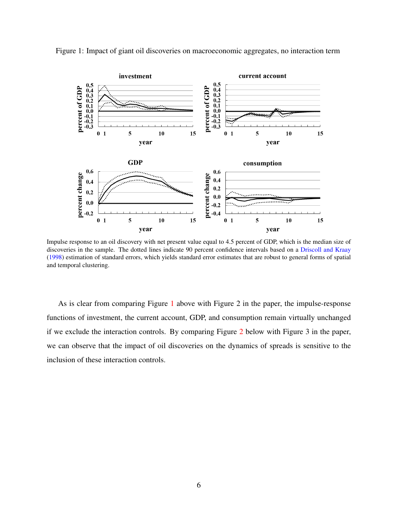

<span id="page-5-1"></span><span id="page-5-0"></span>Figure 1: Impact of giant oil discoveries on macroeconomic aggregates, no interaction term

Impulse response to an oil discovery with net present value equal to 4.5 percent of GDP, which is the median size of discoveries in the sample. The dotted lines indicate 90 percent confidence intervals based on a [Driscoll and Kraay](#page-16-0) [\(1998\)](#page-16-0) estimation of standard errors, which yields standard error estimates that are robust to general forms of spatial and temporal clustering.

As is clear from comparing Figure [1](#page-5-0) above with Figure 2 in the paper, the impulse-response functions of investment, the current account, GDP, and consumption remain virtually unchanged if we exclude the interaction controls. By comparing Figure [2](#page-6-0) below with Figure 3 in the paper, we can observe that the impact of oil discoveries on the dynamics of spreads is sensitive to the inclusion of these interaction controls.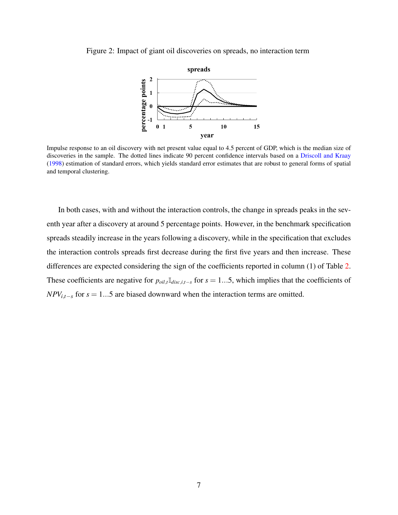<span id="page-6-1"></span><span id="page-6-0"></span>Figure 2: Impact of giant oil discoveries on spreads, no interaction term



Impulse response to an oil discovery with net present value equal to 4.5 percent of GDP, which is the median size of discoveries in the sample. The dotted lines indicate 90 percent confidence intervals based on a [Driscoll and Kraay](#page-16-0) [\(1998\)](#page-16-0) estimation of standard errors, which yields standard error estimates that are robust to general forms of spatial and temporal clustering.

In both cases, with and without the interaction controls, the change in spreads peaks in the seventh year after a discovery at around 5 percentage points. However, in the benchmark specification spreads steadily increase in the years following a discovery, while in the specification that excludes the interaction controls spreads first decrease during the first five years and then increase. These differences are expected considering the sign of the coefficients reported in column (1) of Table [2.](#page-1-0) These coefficients are negative for  $p_{oil,t} \mathbb{I}_{disc,i,t-s}$  for  $s = 1...5$ , which implies that the coefficients of *NPV*<sub>*i*, $t-s$ </sub> for  $s = 1...5$  are biased downward when the interaction terms are omitted.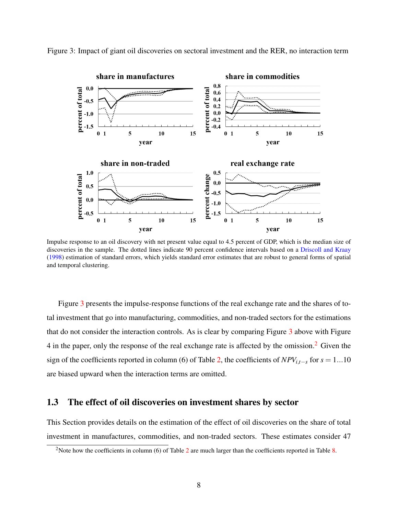

<span id="page-7-3"></span><span id="page-7-1"></span>Figure 3: Impact of giant oil discoveries on sectoral investment and the RER, no interaction term

Impulse response to an oil discovery with net present value equal to 4.5 percent of GDP, which is the median size of discoveries in the sample. The dotted lines indicate 90 percent confidence intervals based on a [Driscoll and Kraay](#page-16-0) [\(1998\)](#page-16-0) estimation of standard errors, which yields standard error estimates that are robust to general forms of spatial and temporal clustering.

Figure [3](#page-7-1) presents the impulse-response functions of the real exchange rate and the shares of total investment that go into manufacturing, commodities, and non-traded sectors for the estimations that do not consider the interaction controls. As is clear by comparing Figure [3](#page-7-1) above with Figure 4 in the paper, only the response of the real exchange rate is affected by the omission.<sup>[2](#page-7-2)</sup> Given the sign of the coefficients reported in column (6) of Table [2,](#page-1-0) the coefficients of  $NPV_{i,t-s}$  for  $s = 1...10$ are biased upward when the interaction terms are omitted.

#### <span id="page-7-0"></span>1.3 The effect of oil discoveries on investment shares by sector

This Section provides details on the estimation of the effect of oil discoveries on the share of total investment in manufactures, commodities, and non-traded sectors. These estimates consider 47

<span id="page-7-2"></span><sup>&</sup>lt;sup>[2](#page-1-0)</sup>Note how the coefficients in column (6) of Table  $2$  are much larger than the coefficients reported in Table  $8$ .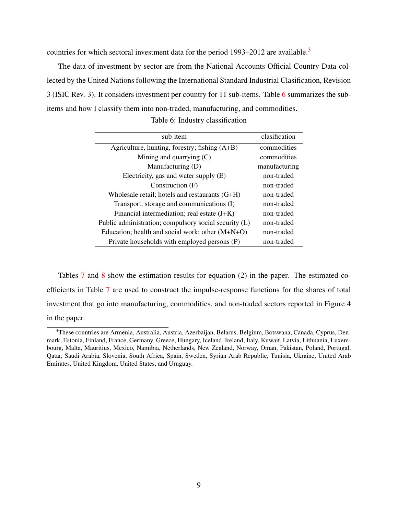countries for which sectoral investment data for the period  $1993-2012$  $1993-2012$  $1993-2012$  are available.<sup>3</sup>

<span id="page-8-1"></span>The data of investment by sector are from the National Accounts Official Country Data collected by the United Nations following the International Standard Industrial Clasification, Revision 3 (ISIC Rev. 3). It considers investment per country for 11 sub-items. Table [6](#page-8-1) summarizes the subitems and how I classify them into non-traded, manufacturing, and commodities.

| sub-item                                              | clasification |
|-------------------------------------------------------|---------------|
| Agriculture, hunting, forestry; fishing (A+B)         | commodities   |
| Mining and quarrying $(C)$                            | commodities   |
| Manufacturing (D)                                     | manufacturing |
| Electricity, gas and water supply (E)                 | non-traded    |
| Construction (F)                                      | non-traded    |
| Wholesale retail; hotels and restaurants (G+H)        | non-traded    |
| Transport, storage and communications (I)             | non-traded    |
| Financial intermediation; real estate $(J+K)$         | non-traded    |
| Public administration; compulsory social security (L) | non-traded    |
| Education; health and social work; other $(M+N+O)$    | non-traded    |
| Private households with employed persons (P)          | non-traded    |

Table 6: Industry classification

Tables [7](#page-9-0) and [8](#page-10-0) show the estimation results for equation (2) in the paper. The estimated coefficients in Table [7](#page-9-0) are used to construct the impulse-response functions for the shares of total investment that go into manufacturing, commodities, and non-traded sectors reported in Figure 4 in the paper.

<span id="page-8-0"></span><sup>3</sup>These countries are Armenia, Australia, Austria, Azerbaijan, Belarus, Belgium, Botswana, Canada, Cyprus, Denmark, Estonia, Finland, France, Germany, Greece, Hungary, Iceland, Ireland, Italy, Kuwait, Latvia, Lithuania, Luxembourg, Malta, Mauritius, Mexico, Namibia, Netherlands, New Zealand, Norway, Oman, Pakistan, Poland, Portugal, Qatar, Saudi Arabia, Slovenia, South Africa, Spain, Sweden, Syrian Arab Republic, Tunisia, Ukraine, United Arab Emirates, United Kingdom, United States, and Uruguay.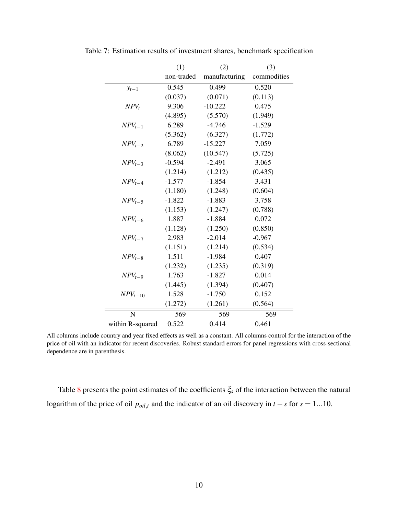|                  | (1)        | (2)           | (3)         |
|------------------|------------|---------------|-------------|
|                  | non-traded | manufacturing | commodities |
| $y_{t-1}$        | 0.545      | 0.499         | 0.520       |
|                  | (0.037)    | (0.071)       | (0.113)     |
| $NPV_t$          | 9.306      | $-10.222$     | 0.475       |
|                  | (4.895)    | (5.570)       | (1.949)     |
| $NPV_{t-1}$      | 6.289      | $-4.746$      | $-1.529$    |
|                  | (5.362)    | (6.327)       | (1.772)     |
| $NPV_{t-2}$      | 6.789      | $-15.227$     | 7.059       |
|                  | (8.062)    | (10.547)      | (5.725)     |
| $NPV_{t-3}$      | $-0.594$   | $-2.491$      | 3.065       |
|                  | (1.214)    | (1.212)       | (0.435)     |
| $NPV_{t-4}$      | $-1.577$   | $-1.854$      | 3.431       |
|                  | (1.180)    | (1.248)       | (0.604)     |
| $NPV_{t-5}$      | $-1.822$   | $-1.883$      | 3.758       |
|                  | (1.153)    | (1.247)       | (0.788)     |
| $NPV_{t-6}$      | 1.887      | $-1.884$      | 0.072       |
|                  | (1.128)    | (1.250)       | (0.850)     |
| $NPV_{t-7}$      | 2.983      | $-2.014$      | $-0.967$    |
|                  | (1.151)    | (1.214)       | (0.534)     |
| $NPV_{t-8}$      | 1.511      | $-1.984$      | 0.407       |
|                  | (1.232)    | (1.235)       | (0.319)     |
| $NPV_{t-9}$      | 1.763      | $-1.827$      | 0.014       |
|                  | (1.445)    | (1.394)       | (0.407)     |
| $NPV_{t-10}$     | 1.528      | $-1.750$      | 0.152       |
|                  | (1.272)    | (1.261)       | (0.564)     |
| N                | 569        | 569           | 569         |
| within R-squared | 0.522      | 0.414         | 0.461       |

<span id="page-9-0"></span>Table 7: Estimation results of investment shares, benchmark specification

Table [8](#page-10-0) presents the point estimates of the coefficients ξ*<sup>s</sup>* of the interaction between the natural logarithm of the price of oil  $p_{oil,t}$  and the indicator of an oil discovery in  $t - s$  for  $s = 1...10$ .

All columns include country and year fixed effects as well as a constant. All columns control for the interaction of the price of oil with an indicator for recent discoveries. Robust standard errors for panel regressions with cross-sectional dependence are in parenthesis.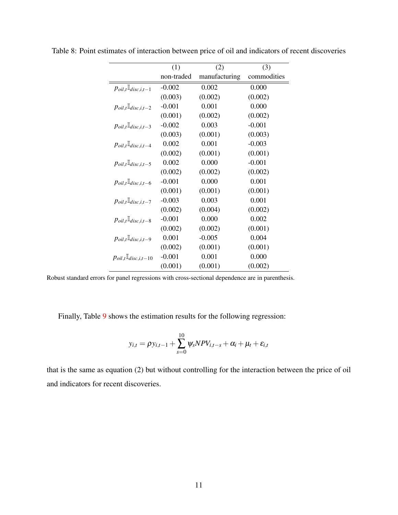|                                                             | (1)        | (2)           | (3)         |
|-------------------------------------------------------------|------------|---------------|-------------|
|                                                             | non-traded | manufacturing | commodities |
| $p_{oil,t}$ <sup><math>\mathbb{I}_{disc,i,t-1}</math></sup> | $-0.002$   | 0.002         | 0.000       |
|                                                             | (0.003)    | (0.002)       | (0.002)     |
| $p_{oil,t}$ <sup>[<i>l</i></sup> disc,i,t-2                 | $-0.001$   | 0.001         | 0.000       |
|                                                             | (0.001)    | (0.002)       | (0.002)     |
| $p_{oil,t}$ <sup><math>\mathbf{I}_{disc,i,t-3}</math></sup> | $-0.002$   | 0.003         | $-0.001$    |
|                                                             | (0.003)    | (0.001)       | (0.003)     |
| $p_{oil,t}$ <sup><math>\mathbb{I}_{disc,i,t-4}</math></sup> | 0.002      | 0.001         | $-0.003$    |
|                                                             | (0.002)    | (0.001)       | (0.001)     |
| $p_{oil,t}$ <sup>[<i>l</i></sup> disc,i,t-5                 | 0.002      | 0.000         | $-0.001$    |
|                                                             | (0.002)    | (0.002)       | (0.002)     |
| $p_{oil,t}$ <sup><i>I</i></sup> <i>disc,i,t</i> -6          | $-0.001$   | 0.000         | 0.001       |
|                                                             | (0.001)    | (0.001)       | (0.001)     |
| $p_{oil,t}$ <sup><math>\mathbb{I}_{disc,i,t-7}</math></sup> | $-0.003$   | 0.003         | 0.001       |
|                                                             | (0.002)    | (0.004)       | (0.002)     |
| $p_{oil,t}$ <sup><math>\mathbb{I}_{disc,i,t-8}</math></sup> | $-0.001$   | 0.000         | 0.002       |
|                                                             | (0.002)    | (0.002)       | (0.001)     |
| $p_{oil,t}$ <sup>[<i>l</i></sup> disc,i,t-9                 | 0.001      | $-0.005$      | 0.004       |
|                                                             | (0.002)    | (0.001)       | (0.001)     |
| $p_{oil,t}$ <sup>[<i>l</i></sup> disc,i,t-10                | $-0.001$   | 0.001         | 0.000       |
|                                                             | (0.001)    | (0.001)       | (0.002)     |

<span id="page-10-0"></span>Table 8: Point estimates of interaction between price of oil and indicators of recent discoveries

Robust standard errors for panel regressions with cross-sectional dependence are in parenthesis.

Finally, Table [9](#page-11-0) shows the estimation results for the following regression:

$$
y_{i,t} = \rho y_{i,t-1} + \sum_{s=0}^{10} \psi_s N P V_{i,t-s} + \alpha_i + \mu_t + \varepsilon_{i,t}
$$

that is the same as equation (2) but without controlling for the interaction between the price of oil and indicators for recent discoveries.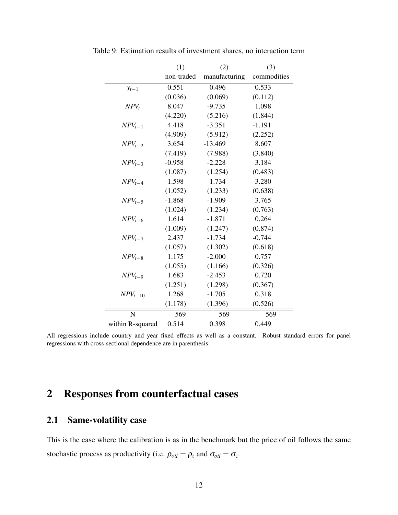|                  | (1)        | (2)           | (3)         |
|------------------|------------|---------------|-------------|
|                  | non-traded | manufacturing | commodities |
| $y_{t-1}$        | 0.551      | 0.496         | 0.533       |
|                  | (0.036)    | (0.069)       | (0.112)     |
| $NPV_t$          | 8.047      | $-9.735$      | 1.098       |
|                  | (4.220)    | (5.216)       | (1.844)     |
| $NPV_{t-1}$      | 4.418      | $-3.351$      | $-1.191$    |
|                  | (4.909)    | (5.912)       | (2.252)     |
| $NPV_{t-2}$      | 3.654      | $-13.469$     | 8.607       |
|                  | (7.419)    | (7.988)       | (3.840)     |
| $NPV_{t-3}$      | $-0.958$   | $-2.228$      | 3.184       |
|                  | (1.087)    | (1.254)       | (0.483)     |
| $NPV_{t-4}$      | $-1.598$   | $-1.734$      | 3.280       |
|                  | (1.052)    | (1.233)       | (0.638)     |
| $NPV_{t-5}$      | $-1.868$   | $-1.909$      | 3.765       |
|                  | (1.024)    | (1.234)       | (0.763)     |
| $NPV_{t-6}$      | 1.614      | $-1.871$      | 0.264       |
|                  | (1.009)    | (1.247)       | (0.874)     |
| $NPV_{t-7}$      | 2.437      | $-1.734$      | $-0.744$    |
|                  | (1.057)    | (1.302)       | (0.618)     |
| $NPV_{t-8}$      | 1.175      | $-2.000$      | 0.757       |
|                  | (1.055)    | (1.166)       | (0.326)     |
| $NPV_{t-9}$      | 1.683      | $-2.453$      | 0.720       |
|                  | (1.251)    | (1.298)       | (0.367)     |
| $NPV_{t-10}$     | 1.268      | $-1.705$      | 0.318       |
|                  | (1.178)    | (1.396)       | (0.526)     |
| N                | 569        | 569           | 569         |
| within R-squared | 0.514      | 0.398         | 0.449       |

<span id="page-11-0"></span>Table 9: Estimation results of investment shares, no interaction term

All regressions include country and year fixed effects as well as a constant. Robust standard errors for panel regressions with cross-sectional dependence are in parenthesis.

## 2 Responses from counterfactual cases

#### 2.1 Same-volatility case

This is the case where the calibration is as in the benchmark but the price of oil follows the same stochastic process as productivity (i.e.  $\rho_{oil} = \rho_z$  and  $\sigma_{oil} = \sigma_z$ .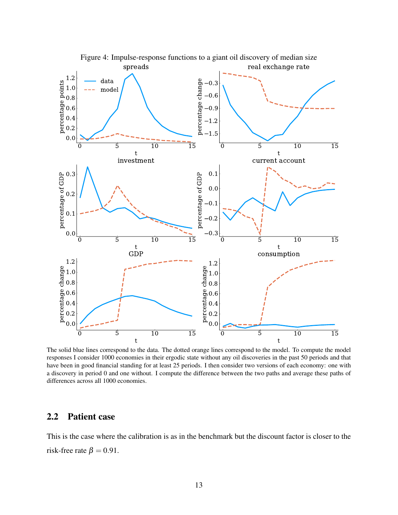

The solid blue lines correspond to the data. The dotted orange lines correspond to the model. To compute the model responses I consider 1000 economies in their ergodic state without any oil discoveries in the past 50 periods and that have been in good financial standing for at least 25 periods. I then consider two versions of each economy: one with a discovery in period 0 and one without. I compute the difference between the two paths and average these paths of differences across all 1000 economies.

#### 2.2 Patient case

This is the case where the calibration is as in the benchmark but the discount factor is closer to the risk-free rate  $\beta = 0.91$ .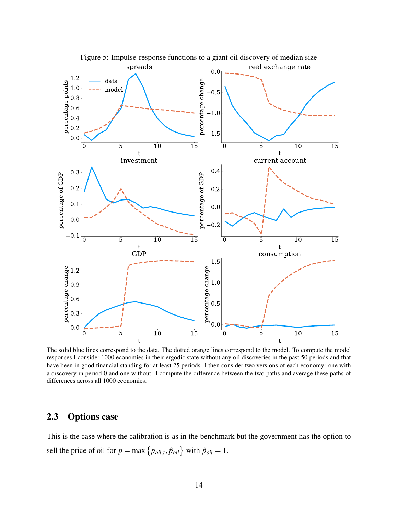

The solid blue lines correspond to the data. The dotted orange lines correspond to the model. To compute the model responses I consider 1000 economies in their ergodic state without any oil discoveries in the past 50 periods and that have been in good financial standing for at least 25 periods. I then consider two versions of each economy: one with a discovery in period 0 and one without. I compute the difference between the two paths and average these paths of differences across all 1000 economies.

#### 2.3 Options case

This is the case where the calibration is as in the benchmark but the government has the option to sell the price of oil for  $p = \max\{p_{oil,t}, \hat{p}_{oil}\}$  with  $\hat{p}_{oil} = 1$ .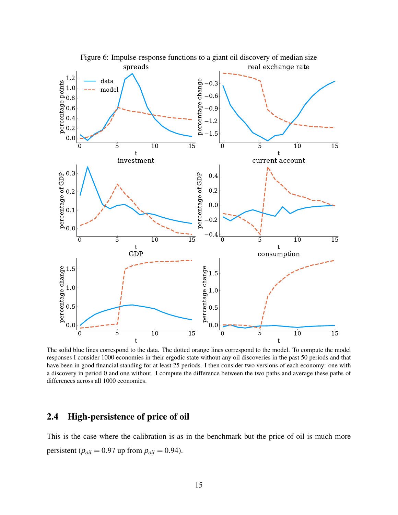

The solid blue lines correspond to the data. The dotted orange lines correspond to the model. To compute the model responses I consider 1000 economies in their ergodic state without any oil discoveries in the past 50 periods and that have been in good financial standing for at least 25 periods. I then consider two versions of each economy: one with a discovery in period 0 and one without. I compute the difference between the two paths and average these paths of differences across all 1000 economies.

### 2.4 High-persistence of price of oil

This is the case where the calibration is as in the benchmark but the price of oil is much more persistent ( $\rho_{oil} = 0.97$  up from  $\rho_{oil} = 0.94$ ).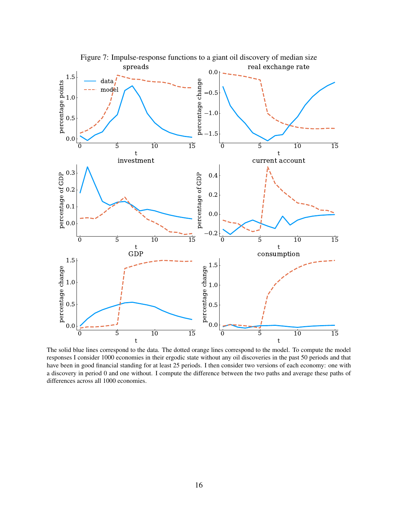

The solid blue lines correspond to the data. The dotted orange lines correspond to the model. To compute the model responses I consider 1000 economies in their ergodic state without any oil discoveries in the past 50 periods and that have been in good financial standing for at least 25 periods. I then consider two versions of each economy: one with a discovery in period 0 and one without. I compute the difference between the two paths and average these paths of differences across all 1000 economies.